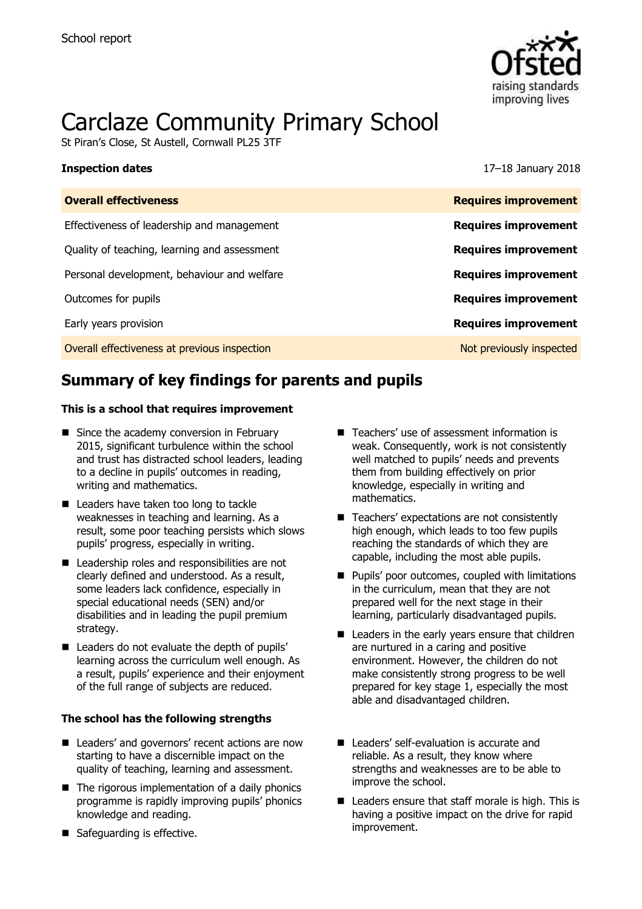

# Carclaze Community Primary School

St Piran's Close, St Austell, Cornwall PL25 3TF

#### **Inspection dates** 17–18 January 2018

| <b>Overall effectiveness</b>                 | <b>Requires improvement</b> |
|----------------------------------------------|-----------------------------|
| Effectiveness of leadership and management   | <b>Requires improvement</b> |
| Quality of teaching, learning and assessment | <b>Requires improvement</b> |
| Personal development, behaviour and welfare  | <b>Requires improvement</b> |
| Outcomes for pupils                          | <b>Requires improvement</b> |
| Early years provision                        | <b>Requires improvement</b> |
| Overall effectiveness at previous inspection | Not previously inspected    |
|                                              |                             |

# **Summary of key findings for parents and pupils**

#### **This is a school that requires improvement**

- Since the academy conversion in February 2015, significant turbulence within the school and trust has distracted school leaders, leading to a decline in pupils' outcomes in reading, writing and mathematics.
- Leaders have taken too long to tackle weaknesses in teaching and learning. As a result, some poor teaching persists which slows pupils' progress, especially in writing.
- Leadership roles and responsibilities are not clearly defined and understood. As a result, some leaders lack confidence, especially in special educational needs (SEN) and/or disabilities and in leading the pupil premium strategy.
- Leaders do not evaluate the depth of pupils' learning across the curriculum well enough. As a result, pupils' experience and their enjoyment of the full range of subjects are reduced.

#### **The school has the following strengths**

- Leaders' and governors' recent actions are now starting to have a discernible impact on the quality of teaching, learning and assessment.
- $\blacksquare$  The rigorous implementation of a daily phonics programme is rapidly improving pupils' phonics knowledge and reading.
- Safeguarding is effective.
- Teachers' use of assessment information is weak. Consequently, work is not consistently well matched to pupils' needs and prevents them from building effectively on prior knowledge, especially in writing and mathematics.
- Teachers' expectations are not consistently high enough, which leads to too few pupils reaching the standards of which they are capable, including the most able pupils.
- **Pupils' poor outcomes, coupled with limitations** in the curriculum, mean that they are not prepared well for the next stage in their learning, particularly disadvantaged pupils.
- Leaders in the early years ensure that children are nurtured in a caring and positive environment. However, the children do not make consistently strong progress to be well prepared for key stage 1, especially the most able and disadvantaged children.
- Leaders' self-evaluation is accurate and reliable. As a result, they know where strengths and weaknesses are to be able to improve the school.
- Leaders ensure that staff morale is high. This is having a positive impact on the drive for rapid improvement.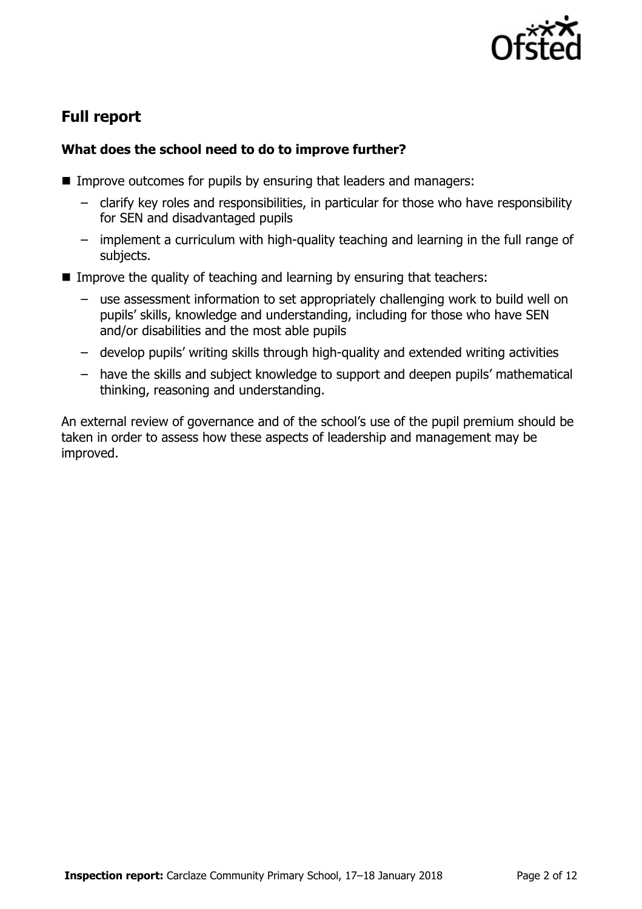

# **Full report**

### **What does the school need to do to improve further?**

- Improve outcomes for pupils by ensuring that leaders and managers:
	- clarify key roles and responsibilities, in particular for those who have responsibility for SEN and disadvantaged pupils
	- implement a curriculum with high-quality teaching and learning in the full range of subjects.
- Improve the quality of teaching and learning by ensuring that teachers:
	- use assessment information to set appropriately challenging work to build well on pupils' skills, knowledge and understanding, including for those who have SEN and/or disabilities and the most able pupils
	- develop pupils' writing skills through high-quality and extended writing activities
	- have the skills and subject knowledge to support and deepen pupils' mathematical thinking, reasoning and understanding.

An external review of governance and of the school's use of the pupil premium should be taken in order to assess how these aspects of leadership and management may be improved.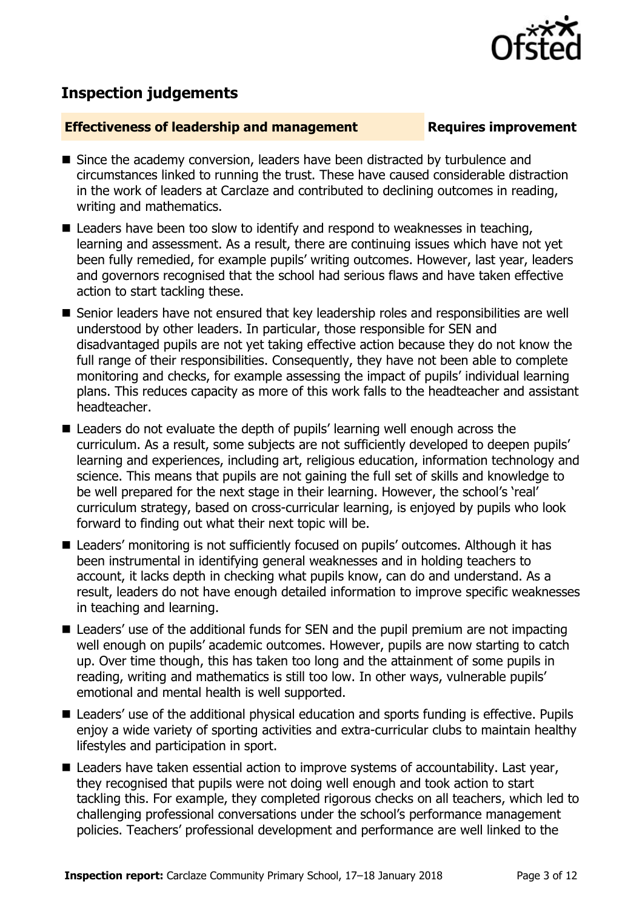

# **Inspection judgements**

#### **Effectiveness of leadership and management Requires improvement**

- Since the academy conversion, leaders have been distracted by turbulence and circumstances linked to running the trust. These have caused considerable distraction in the work of leaders at Carclaze and contributed to declining outcomes in reading, writing and mathematics.
- Leaders have been too slow to identify and respond to weaknesses in teaching, learning and assessment. As a result, there are continuing issues which have not yet been fully remedied, for example pupils' writing outcomes. However, last year, leaders and governors recognised that the school had serious flaws and have taken effective action to start tackling these.
- Senior leaders have not ensured that key leadership roles and responsibilities are well understood by other leaders. In particular, those responsible for SEN and disadvantaged pupils are not yet taking effective action because they do not know the full range of their responsibilities. Consequently, they have not been able to complete monitoring and checks, for example assessing the impact of pupils' individual learning plans. This reduces capacity as more of this work falls to the headteacher and assistant headteacher.
- Leaders do not evaluate the depth of pupils' learning well enough across the curriculum. As a result, some subjects are not sufficiently developed to deepen pupils' learning and experiences, including art, religious education, information technology and science. This means that pupils are not gaining the full set of skills and knowledge to be well prepared for the next stage in their learning. However, the school's 'real' curriculum strategy, based on cross-curricular learning, is enjoyed by pupils who look forward to finding out what their next topic will be.
- Leaders' monitoring is not sufficiently focused on pupils' outcomes. Although it has been instrumental in identifying general weaknesses and in holding teachers to account, it lacks depth in checking what pupils know, can do and understand. As a result, leaders do not have enough detailed information to improve specific weaknesses in teaching and learning.
- Leaders' use of the additional funds for SEN and the pupil premium are not impacting well enough on pupils' academic outcomes. However, pupils are now starting to catch up. Over time though, this has taken too long and the attainment of some pupils in reading, writing and mathematics is still too low. In other ways, vulnerable pupils' emotional and mental health is well supported.
- Leaders' use of the additional physical education and sports funding is effective. Pupils enjoy a wide variety of sporting activities and extra-curricular clubs to maintain healthy lifestyles and participation in sport.
- Leaders have taken essential action to improve systems of accountability. Last year, they recognised that pupils were not doing well enough and took action to start tackling this. For example, they completed rigorous checks on all teachers, which led to challenging professional conversations under the school's performance management policies. Teachers' professional development and performance are well linked to the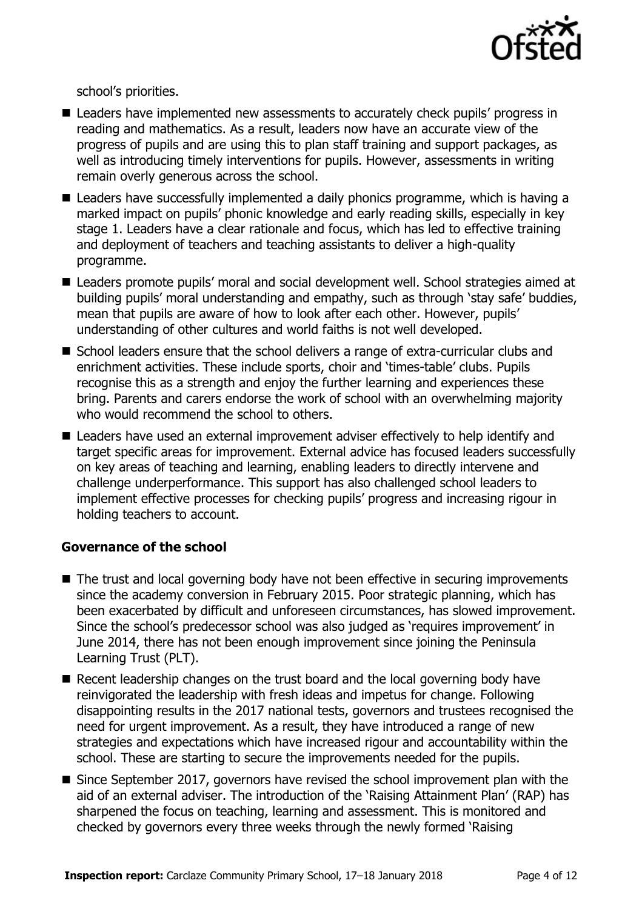

school's priorities.

- Leaders have implemented new assessments to accurately check pupils' progress in reading and mathematics. As a result, leaders now have an accurate view of the progress of pupils and are using this to plan staff training and support packages, as well as introducing timely interventions for pupils. However, assessments in writing remain overly generous across the school.
- Leaders have successfully implemented a daily phonics programme, which is having a marked impact on pupils' phonic knowledge and early reading skills, especially in key stage 1. Leaders have a clear rationale and focus, which has led to effective training and deployment of teachers and teaching assistants to deliver a high-quality programme.
- Leaders promote pupils' moral and social development well. School strategies aimed at building pupils' moral understanding and empathy, such as through 'stay safe' buddies, mean that pupils are aware of how to look after each other. However, pupils' understanding of other cultures and world faiths is not well developed.
- School leaders ensure that the school delivers a range of extra-curricular clubs and enrichment activities. These include sports, choir and 'times-table' clubs. Pupils recognise this as a strength and enjoy the further learning and experiences these bring. Parents and carers endorse the work of school with an overwhelming majority who would recommend the school to others.
- Leaders have used an external improvement adviser effectively to help identify and target specific areas for improvement. External advice has focused leaders successfully on key areas of teaching and learning, enabling leaders to directly intervene and challenge underperformance. This support has also challenged school leaders to implement effective processes for checking pupils' progress and increasing rigour in holding teachers to account.

### **Governance of the school**

- The trust and local governing body have not been effective in securing improvements since the academy conversion in February 2015. Poor strategic planning, which has been exacerbated by difficult and unforeseen circumstances, has slowed improvement. Since the school's predecessor school was also judged as 'requires improvement' in June 2014, there has not been enough improvement since joining the Peninsula Learning Trust (PLT).
- Recent leadership changes on the trust board and the local governing body have reinvigorated the leadership with fresh ideas and impetus for change. Following disappointing results in the 2017 national tests, governors and trustees recognised the need for urgent improvement. As a result, they have introduced a range of new strategies and expectations which have increased rigour and accountability within the school. These are starting to secure the improvements needed for the pupils.
- Since September 2017, governors have revised the school improvement plan with the aid of an external adviser. The introduction of the 'Raising Attainment Plan' (RAP) has sharpened the focus on teaching, learning and assessment. This is monitored and checked by governors every three weeks through the newly formed 'Raising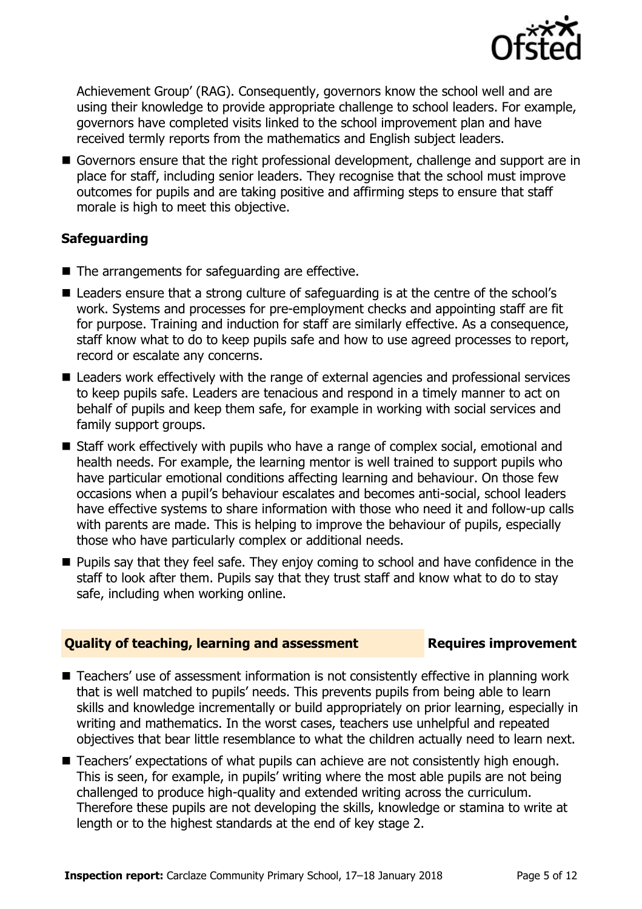

Achievement Group' (RAG). Consequently, governors know the school well and are using their knowledge to provide appropriate challenge to school leaders. For example, governors have completed visits linked to the school improvement plan and have received termly reports from the mathematics and English subject leaders.

Governors ensure that the right professional development, challenge and support are in place for staff, including senior leaders. They recognise that the school must improve outcomes for pupils and are taking positive and affirming steps to ensure that staff morale is high to meet this objective.

### **Safeguarding**

- The arrangements for safeguarding are effective.
- Leaders ensure that a strong culture of safeguarding is at the centre of the school's work. Systems and processes for pre-employment checks and appointing staff are fit for purpose. Training and induction for staff are similarly effective. As a consequence, staff know what to do to keep pupils safe and how to use agreed processes to report, record or escalate any concerns.
- Leaders work effectively with the range of external agencies and professional services to keep pupils safe. Leaders are tenacious and respond in a timely manner to act on behalf of pupils and keep them safe, for example in working with social services and family support groups.
- Staff work effectively with pupils who have a range of complex social, emotional and health needs. For example, the learning mentor is well trained to support pupils who have particular emotional conditions affecting learning and behaviour. On those few occasions when a pupil's behaviour escalates and becomes anti-social, school leaders have effective systems to share information with those who need it and follow-up calls with parents are made. This is helping to improve the behaviour of pupils, especially those who have particularly complex or additional needs.
- **Pupils say that they feel safe. They enjoy coming to school and have confidence in the** staff to look after them. Pupils say that they trust staff and know what to do to stay safe, including when working online.

#### **Quality of teaching, learning and assessment Requires improvement**

- Teachers' use of assessment information is not consistently effective in planning work that is well matched to pupils' needs. This prevents pupils from being able to learn skills and knowledge incrementally or build appropriately on prior learning, especially in writing and mathematics. In the worst cases, teachers use unhelpful and repeated objectives that bear little resemblance to what the children actually need to learn next.
- Teachers' expectations of what pupils can achieve are not consistently high enough. This is seen, for example, in pupils' writing where the most able pupils are not being challenged to produce high-quality and extended writing across the curriculum. Therefore these pupils are not developing the skills, knowledge or stamina to write at length or to the highest standards at the end of key stage 2.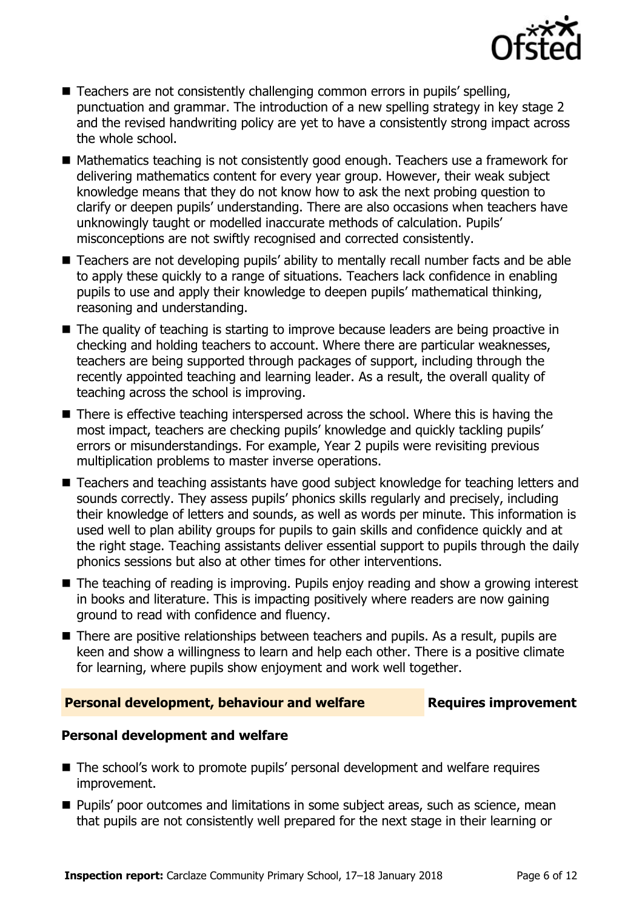

- Teachers are not consistently challenging common errors in pupils' spelling, punctuation and grammar. The introduction of a new spelling strategy in key stage 2 and the revised handwriting policy are yet to have a consistently strong impact across the whole school.
- Mathematics teaching is not consistently good enough. Teachers use a framework for delivering mathematics content for every year group. However, their weak subject knowledge means that they do not know how to ask the next probing question to clarify or deepen pupils' understanding. There are also occasions when teachers have unknowingly taught or modelled inaccurate methods of calculation. Pupils' misconceptions are not swiftly recognised and corrected consistently.
- Teachers are not developing pupils' ability to mentally recall number facts and be able to apply these quickly to a range of situations. Teachers lack confidence in enabling pupils to use and apply their knowledge to deepen pupils' mathematical thinking, reasoning and understanding.
- The quality of teaching is starting to improve because leaders are being proactive in checking and holding teachers to account. Where there are particular weaknesses, teachers are being supported through packages of support, including through the recently appointed teaching and learning leader. As a result, the overall quality of teaching across the school is improving.
- There is effective teaching interspersed across the school. Where this is having the most impact, teachers are checking pupils' knowledge and quickly tackling pupils' errors or misunderstandings. For example, Year 2 pupils were revisiting previous multiplication problems to master inverse operations.
- Teachers and teaching assistants have good subject knowledge for teaching letters and sounds correctly. They assess pupils' phonics skills regularly and precisely, including their knowledge of letters and sounds, as well as words per minute. This information is used well to plan ability groups for pupils to gain skills and confidence quickly and at the right stage. Teaching assistants deliver essential support to pupils through the daily phonics sessions but also at other times for other interventions.
- The teaching of reading is improving. Pupils enjoy reading and show a growing interest in books and literature. This is impacting positively where readers are now gaining ground to read with confidence and fluency.
- There are positive relationships between teachers and pupils. As a result, pupils are keen and show a willingness to learn and help each other. There is a positive climate for learning, where pupils show enjoyment and work well together.

#### **Personal development, behaviour and welfare Fig. 2. Requires improvement**

#### **Personal development and welfare**

- The school's work to promote pupils' personal development and welfare requires improvement.
- **Pupils' poor outcomes and limitations in some subject areas, such as science, mean** that pupils are not consistently well prepared for the next stage in their learning or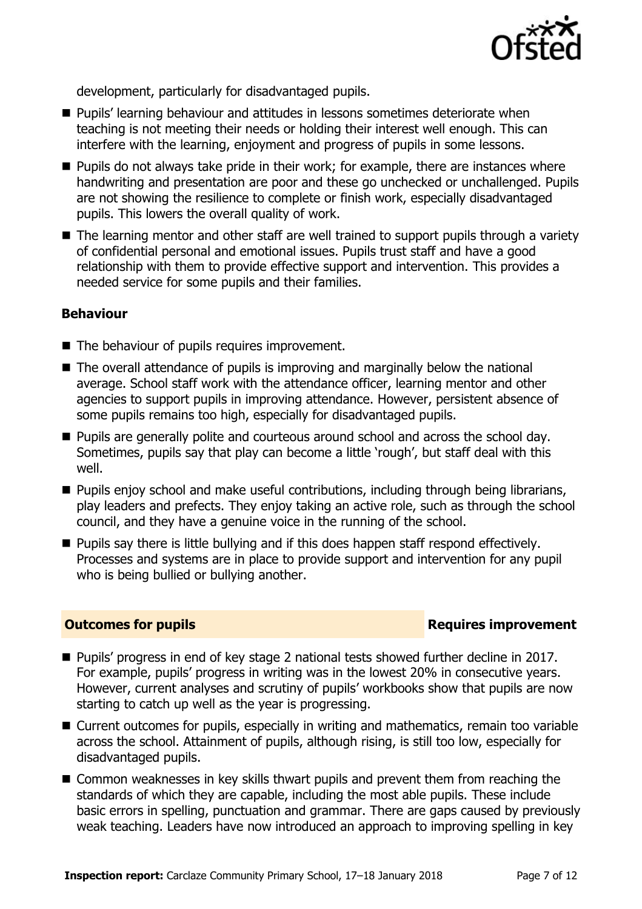

development, particularly for disadvantaged pupils.

- **Pupils' learning behaviour and attitudes in lessons sometimes deteriorate when** teaching is not meeting their needs or holding their interest well enough. This can interfere with the learning, enjoyment and progress of pupils in some lessons.
- **Pupils do not always take pride in their work; for example, there are instances where** handwriting and presentation are poor and these go unchecked or unchallenged. Pupils are not showing the resilience to complete or finish work, especially disadvantaged pupils. This lowers the overall quality of work.
- The learning mentor and other staff are well trained to support pupils through a variety of confidential personal and emotional issues. Pupils trust staff and have a good relationship with them to provide effective support and intervention. This provides a needed service for some pupils and their families.

#### **Behaviour**

- The behaviour of pupils requires improvement.
- The overall attendance of pupils is improving and marginally below the national average. School staff work with the attendance officer, learning mentor and other agencies to support pupils in improving attendance. However, persistent absence of some pupils remains too high, especially for disadvantaged pupils.
- **Pupils are generally polite and courteous around school and across the school day.** Sometimes, pupils say that play can become a little 'rough', but staff deal with this well.
- **Pupils enjoy school and make useful contributions, including through being librarians,** play leaders and prefects. They enjoy taking an active role, such as through the school council, and they have a genuine voice in the running of the school.
- $\blacksquare$  Pupils say there is little bullying and if this does happen staff respond effectively. Processes and systems are in place to provide support and intervention for any pupil who is being bullied or bullying another.

#### **Outcomes for pupils Requires improvement**

- Pupils' progress in end of key stage 2 national tests showed further decline in 2017. For example, pupils' progress in writing was in the lowest 20% in consecutive years. However, current analyses and scrutiny of pupils' workbooks show that pupils are now starting to catch up well as the year is progressing.
- Current outcomes for pupils, especially in writing and mathematics, remain too variable across the school. Attainment of pupils, although rising, is still too low, especially for disadvantaged pupils.
- Common weaknesses in key skills thwart pupils and prevent them from reaching the standards of which they are capable, including the most able pupils. These include basic errors in spelling, punctuation and grammar. There are gaps caused by previously weak teaching. Leaders have now introduced an approach to improving spelling in key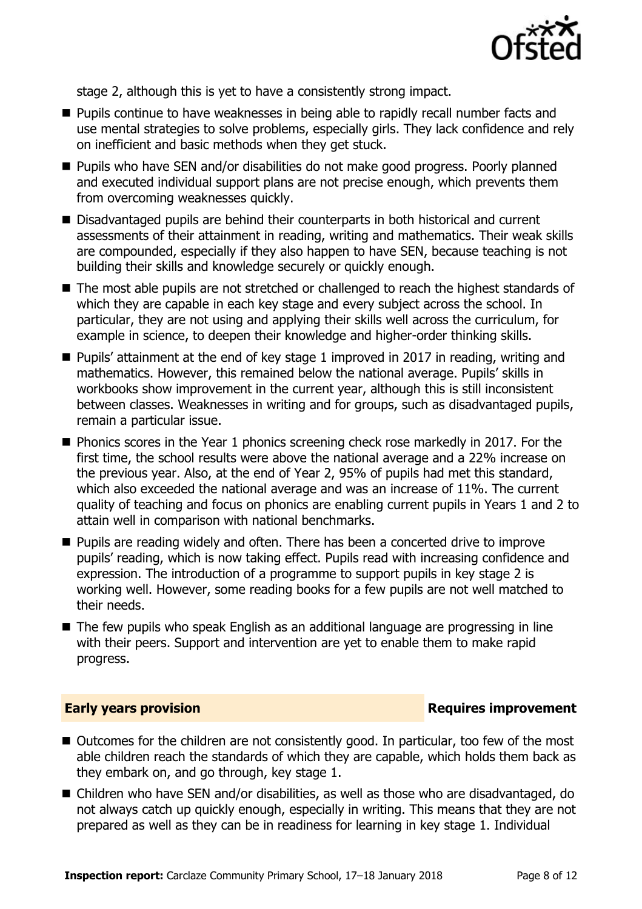

stage 2, although this is yet to have a consistently strong impact.

- **Pupils continue to have weaknesses in being able to rapidly recall number facts and** use mental strategies to solve problems, especially girls. They lack confidence and rely on inefficient and basic methods when they get stuck.
- Pupils who have SEN and/or disabilities do not make good progress. Poorly planned and executed individual support plans are not precise enough, which prevents them from overcoming weaknesses quickly.
- Disadvantaged pupils are behind their counterparts in both historical and current assessments of their attainment in reading, writing and mathematics. Their weak skills are compounded, especially if they also happen to have SEN, because teaching is not building their skills and knowledge securely or quickly enough.
- The most able pupils are not stretched or challenged to reach the highest standards of which they are capable in each key stage and every subject across the school. In particular, they are not using and applying their skills well across the curriculum, for example in science, to deepen their knowledge and higher-order thinking skills.
- Pupils' attainment at the end of key stage 1 improved in 2017 in reading, writing and mathematics. However, this remained below the national average. Pupils' skills in workbooks show improvement in the current year, although this is still inconsistent between classes. Weaknesses in writing and for groups, such as disadvantaged pupils, remain a particular issue.
- Phonics scores in the Year 1 phonics screening check rose markedly in 2017. For the first time, the school results were above the national average and a 22% increase on the previous year. Also, at the end of Year 2, 95% of pupils had met this standard, which also exceeded the national average and was an increase of 11%. The current quality of teaching and focus on phonics are enabling current pupils in Years 1 and 2 to attain well in comparison with national benchmarks.
- **Pupils are reading widely and often. There has been a concerted drive to improve** pupils' reading, which is now taking effect. Pupils read with increasing confidence and expression. The introduction of a programme to support pupils in key stage 2 is working well. However, some reading books for a few pupils are not well matched to their needs.
- The few pupils who speak English as an additional language are progressing in line with their peers. Support and intervention are yet to enable them to make rapid progress.

#### **Early years provision**

- Outcomes for the children are not consistently good. In particular, too few of the most able children reach the standards of which they are capable, which holds them back as they embark on, and go through, key stage 1.
- Children who have SEN and/or disabilities, as well as those who are disadvantaged, do not always catch up quickly enough, especially in writing. This means that they are not prepared as well as they can be in readiness for learning in key stage 1. Individual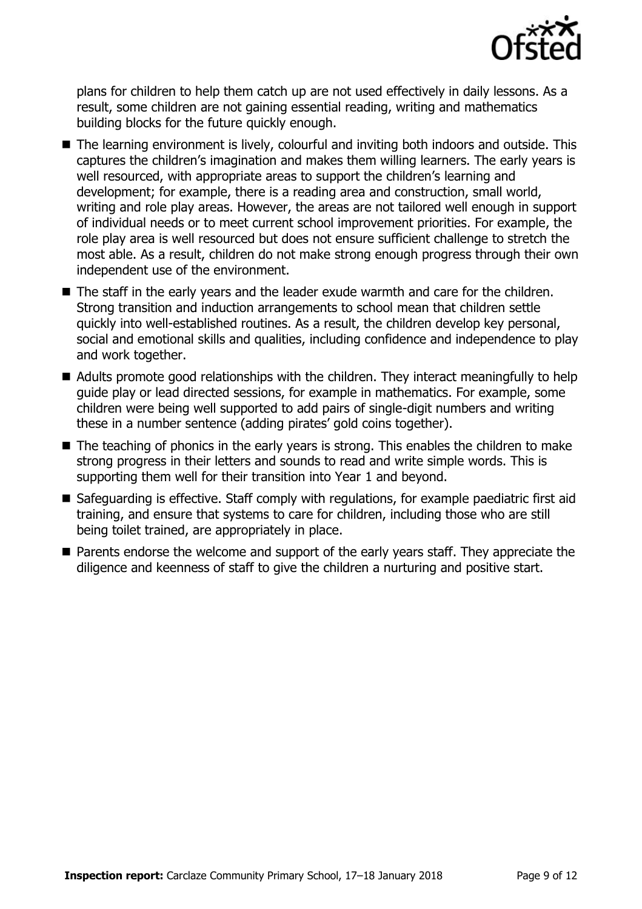

plans for children to help them catch up are not used effectively in daily lessons. As a result, some children are not gaining essential reading, writing and mathematics building blocks for the future quickly enough.

- The learning environment is lively, colourful and inviting both indoors and outside. This captures the children's imagination and makes them willing learners. The early years is well resourced, with appropriate areas to support the children's learning and development; for example, there is a reading area and construction, small world, writing and role play areas. However, the areas are not tailored well enough in support of individual needs or to meet current school improvement priorities. For example, the role play area is well resourced but does not ensure sufficient challenge to stretch the most able. As a result, children do not make strong enough progress through their own independent use of the environment.
- The staff in the early years and the leader exude warmth and care for the children. Strong transition and induction arrangements to school mean that children settle quickly into well-established routines. As a result, the children develop key personal, social and emotional skills and qualities, including confidence and independence to play and work together.
- Adults promote good relationships with the children. They interact meaningfully to help guide play or lead directed sessions, for example in mathematics. For example, some children were being well supported to add pairs of single-digit numbers and writing these in a number sentence (adding pirates' gold coins together).
- The teaching of phonics in the early years is strong. This enables the children to make strong progress in their letters and sounds to read and write simple words. This is supporting them well for their transition into Year 1 and beyond.
- Safeguarding is effective. Staff comply with regulations, for example paediatric first aid training, and ensure that systems to care for children, including those who are still being toilet trained, are appropriately in place.
- **Parents endorse the welcome and support of the early years staff. They appreciate the** diligence and keenness of staff to give the children a nurturing and positive start.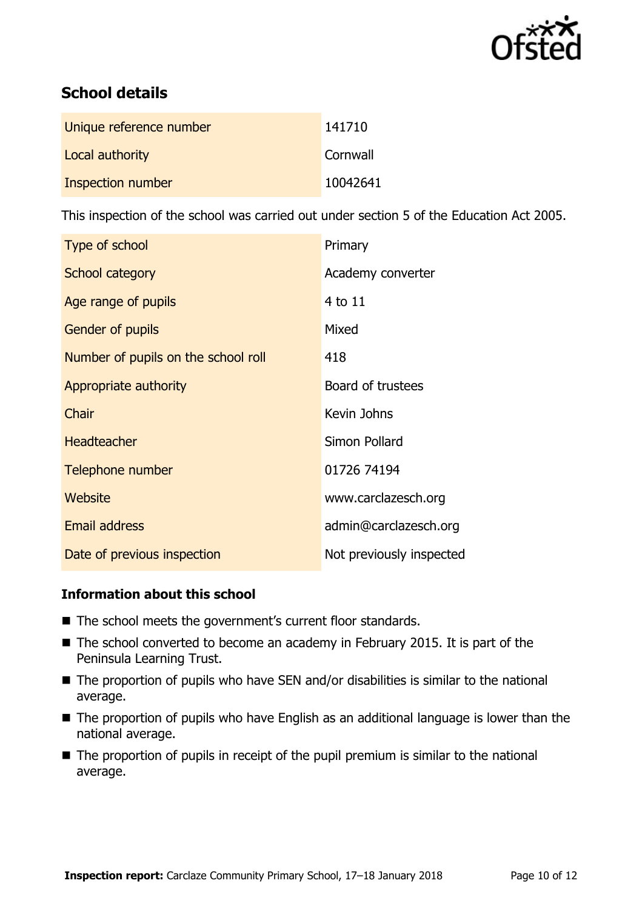

# **School details**

| Unique reference number | 141710   |
|-------------------------|----------|
| Local authority         | Cornwall |
| Inspection number       | 10042641 |

This inspection of the school was carried out under section 5 of the Education Act 2005.

| Type of school                      | Primary                  |
|-------------------------------------|--------------------------|
| School category                     | Academy converter        |
| Age range of pupils                 | 4 to 11                  |
| Gender of pupils                    | Mixed                    |
| Number of pupils on the school roll | 418                      |
| Appropriate authority               | Board of trustees        |
| Chair                               | Kevin Johns              |
| <b>Headteacher</b>                  | Simon Pollard            |
| Telephone number                    | 01726 74194              |
| Website                             | www.carclazesch.org      |
| <b>Email address</b>                | admin@carclazesch.org    |
| Date of previous inspection         | Not previously inspected |

### **Information about this school**

- The school meets the government's current floor standards.
- The school converted to become an academy in February 2015. It is part of the Peninsula Learning Trust.
- The proportion of pupils who have SEN and/or disabilities is similar to the national average.
- The proportion of pupils who have English as an additional language is lower than the national average.
- The proportion of pupils in receipt of the pupil premium is similar to the national average.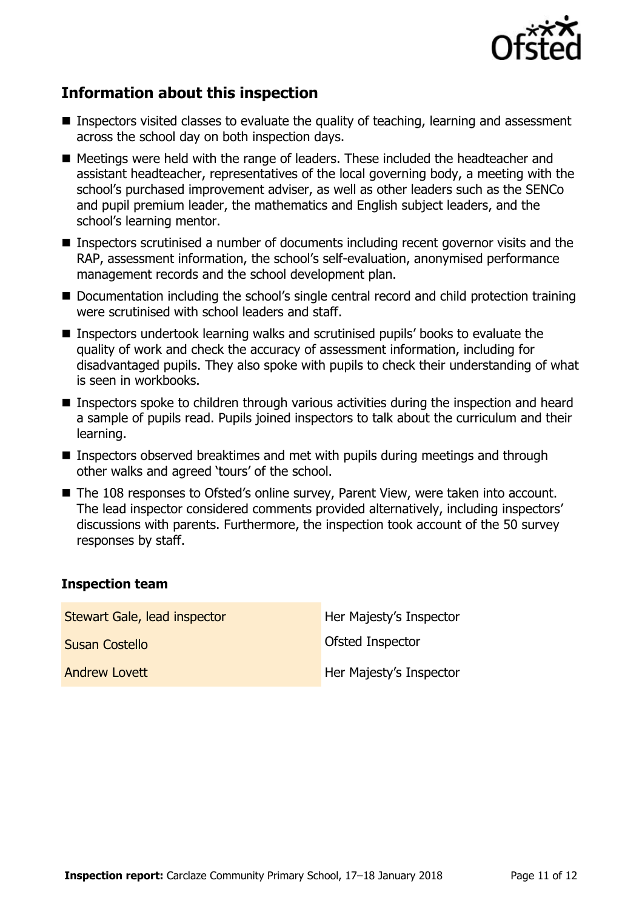

# **Information about this inspection**

- Inspectors visited classes to evaluate the quality of teaching, learning and assessment across the school day on both inspection days.
- Meetings were held with the range of leaders. These included the headteacher and assistant headteacher, representatives of the local governing body, a meeting with the school's purchased improvement adviser, as well as other leaders such as the SENCo and pupil premium leader, the mathematics and English subject leaders, and the school's learning mentor.
- Inspectors scrutinised a number of documents including recent governor visits and the RAP, assessment information, the school's self-evaluation, anonymised performance management records and the school development plan.
- Documentation including the school's single central record and child protection training were scrutinised with school leaders and staff.
- Inspectors undertook learning walks and scrutinised pupils' books to evaluate the quality of work and check the accuracy of assessment information, including for disadvantaged pupils. They also spoke with pupils to check their understanding of what is seen in workbooks.
- Inspectors spoke to children through various activities during the inspection and heard a sample of pupils read. Pupils joined inspectors to talk about the curriculum and their learning.
- Inspectors observed breaktimes and met with pupils during meetings and through other walks and agreed 'tours' of the school.
- The 108 responses to Ofsted's online survey, Parent View, were taken into account. The lead inspector considered comments provided alternatively, including inspectors' discussions with parents. Furthermore, the inspection took account of the 50 survey responses by staff.

### **Inspection team**

| Stewart Gale, lead inspector | Her Majesty's Inspector |
|------------------------------|-------------------------|
| <b>Susan Costello</b>        | <b>Ofsted Inspector</b> |
| <b>Andrew Lovett</b>         | Her Majesty's Inspector |